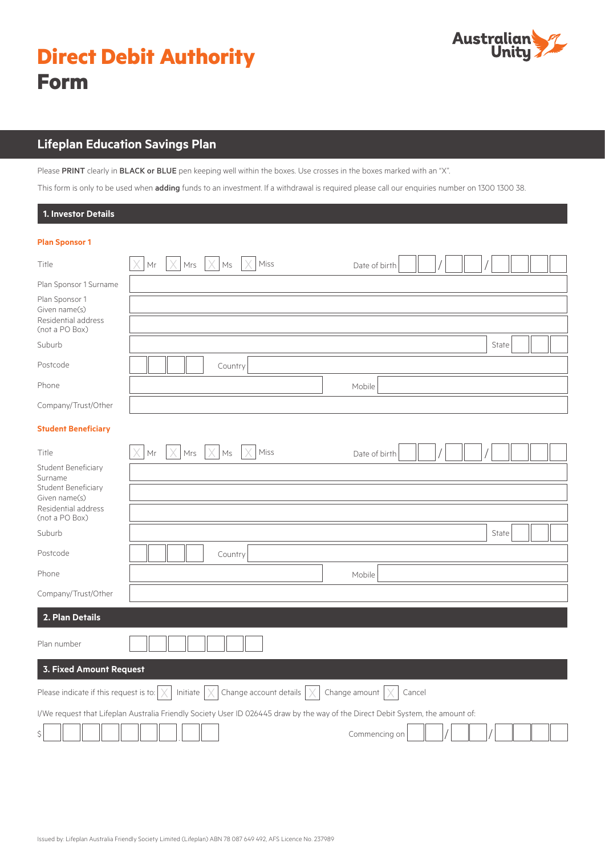

## **Lifeplan Education Savings Plan**

Please PRINT clearly in BLACK or BLUE pen keeping well within the boxes. Use crosses in the boxes marked with an "X".

This form is only to be used when *adding* funds to an investment. If a withdrawal is required please call our enquiries number on 1300 1300 38.

| 1. Investor Details                                                                           |                                                                                                                                 |        |
|-----------------------------------------------------------------------------------------------|---------------------------------------------------------------------------------------------------------------------------------|--------|
| <b>Plan Sponsor 1</b>                                                                         |                                                                                                                                 |        |
| Title                                                                                         | $ \times $ Mrs $ \times $ Ms<br>$\vert$ Mr<br>Miss<br>Date of birth                                                             |        |
| Plan Sponsor 1 Surname                                                                        |                                                                                                                                 |        |
| Plan Sponsor 1<br>Given name(s)<br>Residential address<br>(not a PO Box)                      |                                                                                                                                 |        |
| Suburb                                                                                        |                                                                                                                                 | State  |
| Postcode                                                                                      | Country                                                                                                                         |        |
| Phone                                                                                         | Mobile                                                                                                                          |        |
| Company/Trust/Other                                                                           |                                                                                                                                 |        |
| <b>Student Beneficiary</b>                                                                    |                                                                                                                                 |        |
| Title                                                                                         | X <br>$Mrs$ $ \times $<br>Ms<br>Miss<br>Mr<br>Date of birth                                                                     |        |
| Student Beneficiary<br>Surname<br>Student Beneficiary<br>Given name(s)<br>Residential address |                                                                                                                                 |        |
| (not a PO Box)                                                                                |                                                                                                                                 |        |
| Suburb                                                                                        |                                                                                                                                 | State  |
| Postcode                                                                                      | Country                                                                                                                         |        |
| Phone                                                                                         | Mobile                                                                                                                          |        |
| Company/Trust/Other                                                                           |                                                                                                                                 |        |
| 2. Plan Details                                                                               |                                                                                                                                 |        |
| Plan number                                                                                   |                                                                                                                                 |        |
| <b>3. Fixed Amount Request</b>                                                                |                                                                                                                                 |        |
| Please indicate if this request is to: $\mid$ $\times$                                        | Initiate $ \times $ Change account details $ \times $<br>Change amount                                                          | Cancel |
|                                                                                               | I/We request that Lifeplan Australia Friendly Society User ID 026445 draw by the way of the Direct Debit System, the amount of: |        |
|                                                                                               | Commencing on                                                                                                                   |        |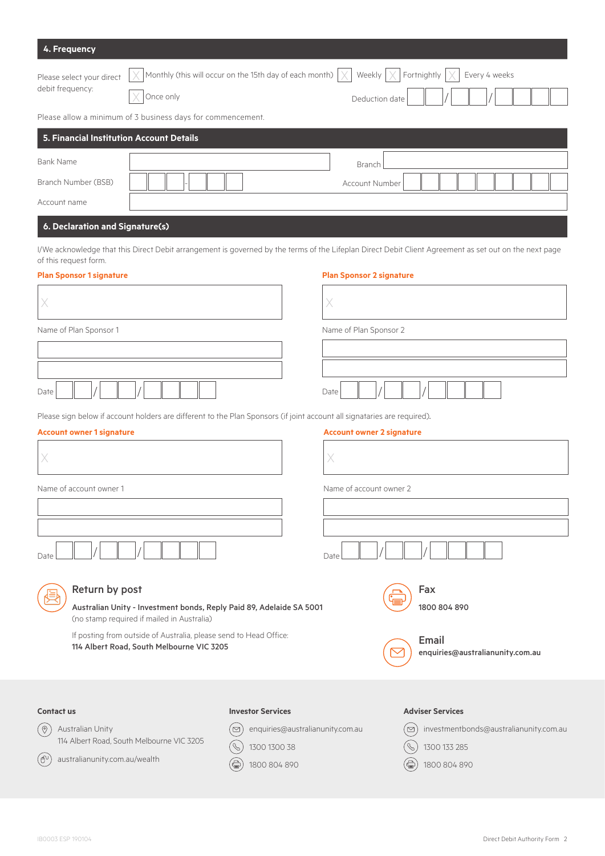| 4. Frequency                                                                                                                                                 |                                                                      |                                  |                                                                                |  |
|--------------------------------------------------------------------------------------------------------------------------------------------------------------|----------------------------------------------------------------------|----------------------------------|--------------------------------------------------------------------------------|--|
| Please select your direct<br>debit frequency:<br>Once only                                                                                                   | Monthly (this will occur on the 15th day of each month)              | Weekly<br>X<br>Deduction date    | Fortnightly<br>Every 4 weeks                                                   |  |
| Please allow a minimum of 3 business days for commencement.                                                                                                  |                                                                      |                                  |                                                                                |  |
| 5. Financial Institution Account Details                                                                                                                     |                                                                      |                                  |                                                                                |  |
| <b>Bank Name</b>                                                                                                                                             |                                                                      | Branch                           |                                                                                |  |
| Branch Number (BSB)                                                                                                                                          |                                                                      | Account Number                   |                                                                                |  |
| Account name                                                                                                                                                 |                                                                      |                                  |                                                                                |  |
| 6. Declaration and Signature(s)                                                                                                                              |                                                                      |                                  |                                                                                |  |
| I/We acknowledge that this Direct Debit arrangement is governed by the terms of the Lifeplan Direct Debit Client Agreement as set out on the next page       |                                                                      |                                  |                                                                                |  |
| of this request form.<br><b>Plan Sponsor 1 signature</b>                                                                                                     |                                                                      | <b>Plan Sponsor 2 signature</b>  |                                                                                |  |
| X                                                                                                                                                            |                                                                      | Х                                |                                                                                |  |
| Name of Plan Sponsor 1                                                                                                                                       |                                                                      | Name of Plan Sponsor 2           |                                                                                |  |
|                                                                                                                                                              |                                                                      |                                  |                                                                                |  |
| Date                                                                                                                                                         |                                                                      | Date                             |                                                                                |  |
| Please sign below if account holders are different to the Plan Sponsors (if joint account all signataries are required).<br><b>Account owner 1 signature</b> |                                                                      | <b>Account owner 2 signature</b> |                                                                                |  |
| X                                                                                                                                                            |                                                                      | X                                |                                                                                |  |
| Name of account owner 1                                                                                                                                      |                                                                      | Name of account owner 2          |                                                                                |  |
|                                                                                                                                                              |                                                                      |                                  |                                                                                |  |
|                                                                                                                                                              |                                                                      |                                  |                                                                                |  |
| Date                                                                                                                                                         |                                                                      | Date                             |                                                                                |  |
| Return by post<br>Australian Unity - Investment bonds, Reply Paid 89, Adelaide SA 5001<br>(no stamp required if mailed in Australia)                         |                                                                      |                                  | Fax<br>1800 804 890                                                            |  |
| If posting from outside of Australia, please send to Head Office:<br>114 Albert Road, South Melbourne VIC 3205                                               |                                                                      |                                  | Email<br>enquiries@australianunity.com.au                                      |  |
| <b>Contact us</b>                                                                                                                                            | <b>Investor Services</b>                                             |                                  | <b>Adviser Services</b>                                                        |  |
| $\left[ \circledcirc \right]$<br>Australian Unity<br>114 Albert Road, South Melbourne VIC 3205                                                               | enquiries@australianunity.com.au<br>$\triangleright$<br>1300 1300 38 |                                  | investmentbonds@australianunity.com.au<br>$\quad \, \boxtimes$<br>1300 133 285 |  |
| (ூ`<br>australianunity.com.au/wealth                                                                                                                         | 1800 804 890                                                         |                                  | 1800 804 890                                                                   |  |